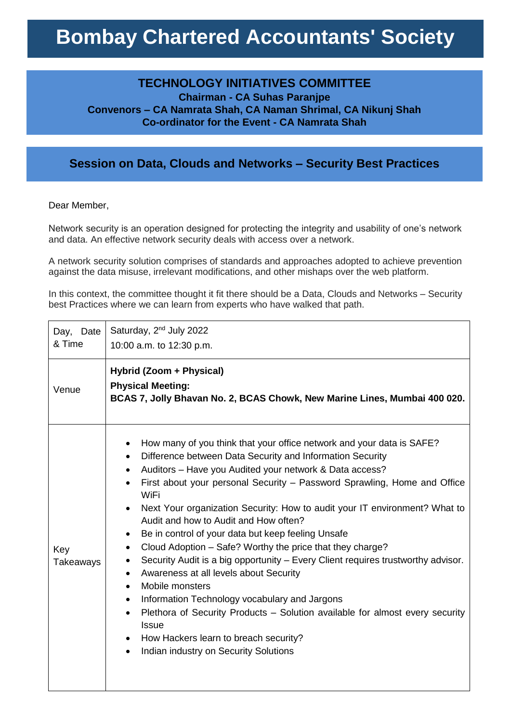## **Bombay Chartered Accountants' Society**

## **TECHNOLOGY INITIATIVES COMMITTEE**

**Chairman - CA Suhas Paranjpe Convenors – CA Namrata Shah, CA Naman Shrimal, CA Nikunj Shah Co-ordinator for the Event - CA Namrata Shah**

## **Session on Data, Clouds and Networks – Security Best Practices**

Dear Member,

Network security is an operation designed for protecting the integrity and usability of one's network and data. An effective network security deals with access over a network.

A network security solution comprises of standards and approaches adopted to achieve prevention against the data misuse, irrelevant modifications, and other mishaps over the web platform.

In this context, the committee thought it fit there should be a Data, Clouds and Networks – Security best Practices where we can learn from experts who have walked that path.

| Day, Date<br>& Time | Saturday, 2 <sup>nd</sup> July 2022<br>10:00 a.m. to 12:30 p.m.                                                                                                                                                                                                                                                                                                                                                                                                                                                                                                                                                                                                                                                                                                                                                                                                                                                                                                                                                                                                     |
|---------------------|---------------------------------------------------------------------------------------------------------------------------------------------------------------------------------------------------------------------------------------------------------------------------------------------------------------------------------------------------------------------------------------------------------------------------------------------------------------------------------------------------------------------------------------------------------------------------------------------------------------------------------------------------------------------------------------------------------------------------------------------------------------------------------------------------------------------------------------------------------------------------------------------------------------------------------------------------------------------------------------------------------------------------------------------------------------------|
| Venue               | Hybrid (Zoom + Physical)<br><b>Physical Meeting:</b><br>BCAS 7, Jolly Bhavan No. 2, BCAS Chowk, New Marine Lines, Mumbai 400 020.                                                                                                                                                                                                                                                                                                                                                                                                                                                                                                                                                                                                                                                                                                                                                                                                                                                                                                                                   |
| Key<br>Takeaways    | How many of you think that your office network and your data is SAFE?<br>$\bullet$<br>Difference between Data Security and Information Security<br>$\bullet$<br>Auditors - Have you Audited your network & Data access?<br>$\bullet$<br>First about your personal Security – Password Sprawling, Home and Office<br>WiFi<br>Next Your organization Security: How to audit your IT environment? What to<br>Audit and how to Audit and How often?<br>Be in control of your data but keep feeling Unsafe<br>$\bullet$<br>Cloud Adoption - Safe? Worthy the price that they charge?<br>$\bullet$<br>Security Audit is a big opportunity - Every Client requires trustworthy advisor.<br>٠<br>Awareness at all levels about Security<br>$\bullet$<br>Mobile monsters<br>$\bullet$<br>Information Technology vocabulary and Jargons<br>$\bullet$<br>Plethora of Security Products - Solution available for almost every security<br>$\bullet$<br><b>Issue</b><br>How Hackers learn to breach security?<br>$\bullet$<br>Indian industry on Security Solutions<br>$\bullet$ |